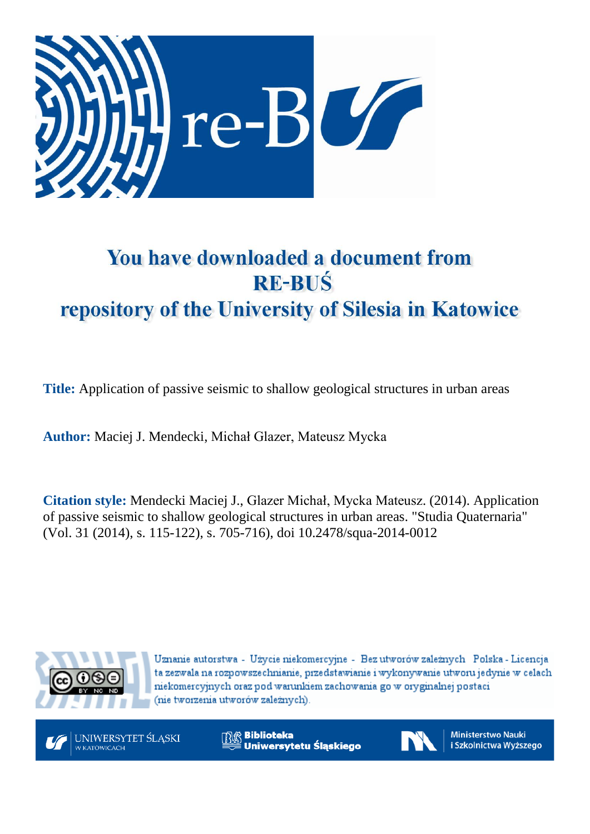

# You have downloaded a document from **RE-BUŚ** repository of the University of Silesia in Katowice

**Title:** Application of passive seismic to shallow geological structures in urban areas

**Author:** Maciej J. Mendecki, Michał Glazer, Mateusz Mycka

**Citation style:** Mendecki Maciej J., Glazer Michał, Mycka Mateusz. (2014). Application of passive seismic to shallow geological structures in urban areas. "Studia Quaternaria" (Vol. 31 (2014), s. 115-122), s. 705-716), doi 10.2478/squa-2014-0012



Uznanie autorstwa - Użycie niekomercyjne - Bez utworów zależnych Polska - Licencja ta zezwala na rozpowszechnianie, przedstawianie i wykonywanie utworu jedynie w celach niekomercyjnych oraz pod warunkiem zachowania go w oryginalnej postaci (nie tworzenia utworów zależnych).



**Biblioteka** Uniwersytetu Śląskiego



**Ministerstwo Nauki** i Szkolnictwa Wyższego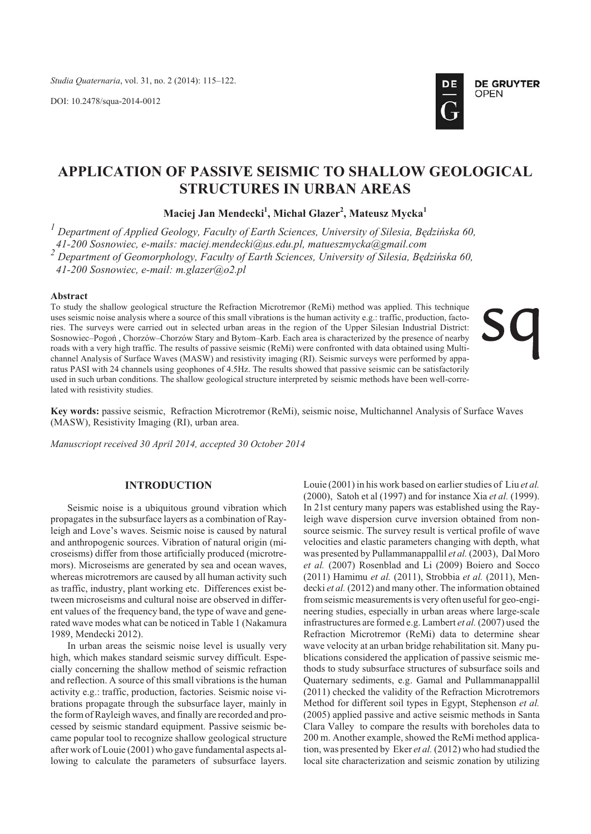DOI: 10.2478/squa-2014-0012



# **APPLICATION OF PASSIVE SEISMIC TO SHALLOW GEOLOGICAL STRUCTURES IN URBAN AREAS**

**Maciej Jan Mendecki<sup>1</sup> , Micha³ Glazer<sup>2</sup> , Mateusz Mycka<sup>1</sup>**

<sup>1</sup> Department of Applied Geology, Faculty of Earth Sciences, University of Silesia, Będzińska 60,  *41-200 Sosnowiec, e-mails: maciej.mendecki@us.edu.pl, matueszmycka@gmail.com 2 De part ment of Geo mor phol ogy, Fac ulty of Earth Sci ences, Uni ver sity of Silesia, Bêdziñska 60, 41-200 Sosnowiec, e-mail: m.glazer@o2.pl*

#### **Ab stract**

To study the shallow geological structure the Refraction Microtremor (ReMi) method was applied. This technique uses seismic noise analysis where a source of this small vibrations is the human activity e.g.: traffic, production, factories. The surveys were carried out in selected urban areas in the region of the Upper Silesian Industrial District: Sosnowiec–Pogoń, Chorzów–Chorzów Stary and Bytom–Karb. Each area is characterized by the presence of nearby roads with a very high traffic. The results of passive seismic (ReMi) were confronted with data obtained using Multichannel Analysis of Surface Waves (MASW) and resistivity imaging (RI). Seismic surveys were performed by apparatus PASI with 24 channels using geophones of 4.5Hz. The results showed that passive seismic can be satisfactorily used in such urban conditions. The shallow geological structure interpreted by seismic methods have been well-correlated with resistivity studies.

**Key words:** passive seismic, Refraction Microtremor (ReMi), seismic noise, Multichannel Analysis of Surface Waves  $(MASW)$ , Resistivity Imaging  $(RI)$ , urban area.

*Manuscriopt received 30 April 2014, accepted 30 October 2014*

# **INTRODUCTION**

Seismic noise is a ubiquitous ground vibration which propagates in the subsurface layers as a combination of Rayleigh and Love's waves. Seismic noise is caused by natural and anthropogenic sources. Vibration of natural origin (microseisms) differ from those artificially produced (microtremors). Microseisms are generated by sea and ocean waves, whereas microtremors are caused by all human activity such as traffic, industry, plant working etc. Differences exist between microseisms and cultural noise are observed in different values of the frequency band, the type of wave and generated wave modes what can be noticed in Table 1 (Nakamura 1989, Mendecki 2012).

In urban areas the seismic noise level is usually very high, which makes standard seismic survey difficult. Especially concerning the shallow method of seismic refraction and reflection. A source of this small vibrations is the human activity e.g.: traffic, production, factories. Seismic noise vibrations propagate through the subsurface layer, mainly in the form of Rayleigh waves, and finally are recorded and processed by seismic standard equipment. Passive seismic became popular tool to recognize shallow geological structure after work of Louie (2001) who gave fundamental aspects allowing to calculate the parameters of subsurface layers. Louie (2001) in his work based on earlier studies of Liu *et al.* (2000), Satoh et al (1997) and for in stance Xia *et al.* (1999). In 21st century many papers was established using the Rayleigh wave dispersion curve inversion obtained from nonsource seismic. The survey result is vertical profile of wave velocities and elastic parameters changing with depth, what was presented by Pullammanappallil *et al.* (2003), Dal Moro *et al.* (2007) Rosenblad and Li (2009) Boiero and Socco (2011) Hamimu *et al.* (2011), Strobbia *et al.* (2011), Mendecki et al. (2012) and many other. The information obtained from seismic measurements is very often useful for geo-engineering studies, especially in urban areas where large-scale in fra structures are formed e.g. Lam bert *et al.* (2007) used the Refraction Microtremor (ReMi) data to determine shear wave velocity at an urban bridge rehabilitation sit. Many publications considered the application of passive seismic methods to study subsurface structures of subsurface soils and Quaternary sediments, e.g. Gamal and Pullammanappallil  $(2011)$  checked the validity of the Refraction Microtremors Method for different soil types in Egypt, Stephenson *et al.* (2005) applied passive and active seismic methods in Santa Clara Valley to compare the results with boreholes data to 200 m. Another example, showed the ReMi method application, was presented by Eker et al. (2012) who had studied the local site characterization and seismic zonation by utilizing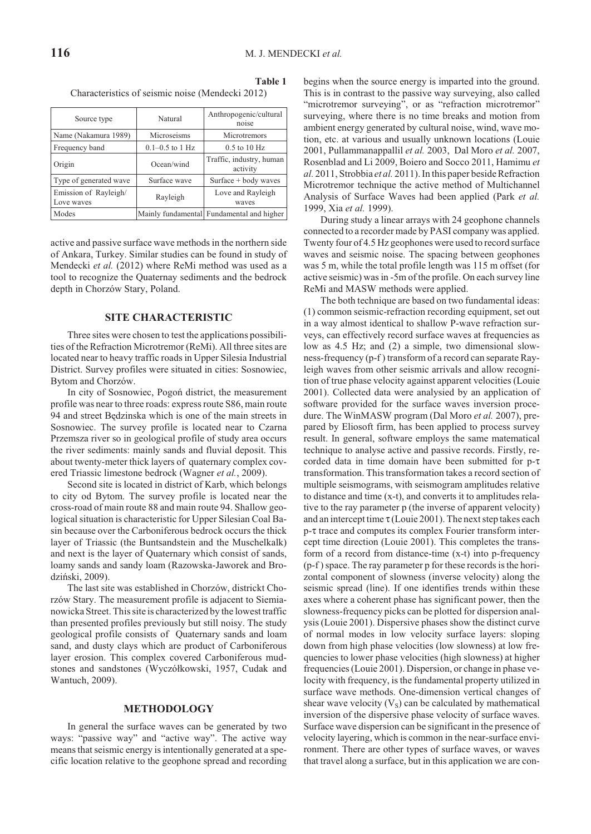**Ta ble 1**

| Characteristics of seismic noise (Mendecki 2012) |         |                                 |  |  |  |
|--------------------------------------------------|---------|---------------------------------|--|--|--|
| Source type                                      | Natural | Anthropogenic/cultural<br>noise |  |  |  |
|                                                  |         |                                 |  |  |  |

| Name (Nakamura 1989)                | Microseisms         | Microtremors                              |
|-------------------------------------|---------------------|-------------------------------------------|
| Frequency band                      | $0.1 - 0.5$ to 1 Hz | $0.5$ to $10$ Hz                          |
| Origin                              | Ocean/wind          | Traffic, industry, human<br>activity      |
| Type of generated wave              | Surface wave        | Surface $+$ body waves                    |
| Emission of Rayleigh/<br>Love waves | Rayleigh            | Love and Rayleigh<br>waves                |
| Modes                               |                     | Mainly fundamental Fundamental and higher |
|                                     |                     |                                           |

active and passive surface wave methods in the northern side of Ankara, Turkey. Similar studies can be found in study of Mendecki *et al.* (2012) where ReMi method was used as a tool to recognize the Quaternay sediments and the bedrock depth in Chorzów Stary, Poland.

# **SITE CHARACTERISTIC**

Three sites were chosen to test the applications possibilities of the Refraction Microtremor (ReMi). All three sites are located near to heavy traffic roads in Upper Silesia Industrial District. Survey profiles were situated in cities: Sosnowiec, Bytom and Chorzów.

In city of Sosnowiec, Pogoń district, the measurement profile was near to three roads: express route S86, main route 94 and street Będzinska which is one of the main streets in Sosnowiec. The survey profile is located near to Czarna Przemsza river so in geological profile of study area occurs the river sediments: mainly sands and fluvial deposit. This about twenty-meter thick layers of quaternary complex covered Triassic limestone bedrock (Wagner et al., 2009).

Second site is located in district of Karb, which belongs to city od Bytom. The survey profile is located near the cross-road of main route 88 and main route 94. Shallow geological situation is characteristic for Upper Silesian Coal Basin because over the Carboniferous bedrock occurs the thick layer of Triassic (the Buntsandstein and the Muschelkalk) and next is the layer of Quaternary which consist of sands, loamy sands and sandy loam (Razowska-Jaworek and Brodziñski, 2009).

The last site was established in Chorzów, districkt Chorzów Stary. The measurement profile is adjacent to Siemianowicka Street. This site is characterized by the lowest traffic than presented profiles previously but still noisy. The study geological profile consists of Quaternary sands and loam sand, and dusty clays which are product of Carboniferous layer erosion. This complex covered Carboniferous mudstones and sandstones (Wyczółkowski, 1957, Cudak and Wantuch, 2009).

# **METHODOLOGY**

In general the surface waves can be generated by two ways: "passive way" and "active way". The active way means that seismic energy is intentionally generated at a specific location relative to the geophone spread and recording

begins when the source energy is imparted into the ground. This is in contrast to the passive way surveying, also called "microtremor surveying", or as "refraction microtremor" surveying, where there is no time breaks and motion from ambient energy generated by cultural noise, wind, wave motion, etc. at various and usually unknown locations (Louie 2001, Pullammanappallil *et al.* 2003, Dal Moro *et al.* 2007, Rosenblad and Li 2009, Boiero and Socco 2011, Hamimu *et al.* 2011, Strobbia *et al.* 2011). In this paper beside Refraction Microtremor technique the active method of Multichannel Analysis of Surface Waves had been applied (Park *et al.*) 1999, Xia *et al.* 1999).

During study a linear arrays with 24 geophone channels connected to a recorder made by PASI company was applied. Twenty four of 4.5 Hz geophones were used to record surface waves and seismic noise. The spacing between geophones was 5 m, while the total profile length was 115 m offset (for active seismic) was in -5m of the profile. On each survey line ReMi and MASW methods were applied.

The both technique are based on two fundamental ideas:  $(1)$  common seismic-refraction recording equipment, set out in a way almost identical to shallow P-wave refraction surveys, can effectively record surface waves at frequencies as low as  $4.5$  Hz; and  $(2)$  a simple, two dimensional slowness-frequency (p-f) transform of a record can separate Rayleigh waves from other seismic arrivals and allow recognition of true phase velocity against apparent velocities (Louie 2001). Collected data were analysied by an application of software provided for the surface waves inversion procedure. The WinMASW program (Dal Moro *et al.* 2007), prepared by Eliosoft firm, has been applied to process survey result. In general, software employs the same matematical technique to analyse active and passive records. Firstly, recorded data in time domain have been submitted for  $p-\tau$ trans formation. This transformation takes a record section of multiple seismograms, with seismogram amplitudes relative to distance and time  $(x-t)$ , and converts it to amplitudes relative to the ray parameter p (the inverse of apparent velocity) and an intercept time  $\tau$  (Louie 2001). The next step takes each p-t trace and computes its complex Fourier transform intercept time direction (Louie 2001). This completes the transform of a record from distance-time  $(x-t)$  into p-frequency  $(p-f)$  space. The ray parameter p for these records is the horizontal component of slowness (inverse velocity) along the seismic spread (line). If one identifies trends within these axes where a coherent phase has significant power, then the slowness-frequency picks can be plotted for dispersion analysis (Louie 2001). Dispersive phases show the distinct curve of normal modes in low velocity surface layers: sloping down from high phase velocities (low slowness) at low frequencies to lower phase velocities (high slowness) at higher frequencies (Louie 2001). Dispersion, or change in phase velocity with frequency, is the fundamental property utilized in surface wave methods. One-dimension vertical changes of shear wave velocity  $(V<sub>S</sub>)$  can be calculated by mathematical inversion of the dispersive phase velocity of surface waves. Surface wave dispersion can be significant in the presence of velocity layering, which is common in the near-surface environment. There are other types of surface waves, or waves that travel along a surface, but in this application we are con-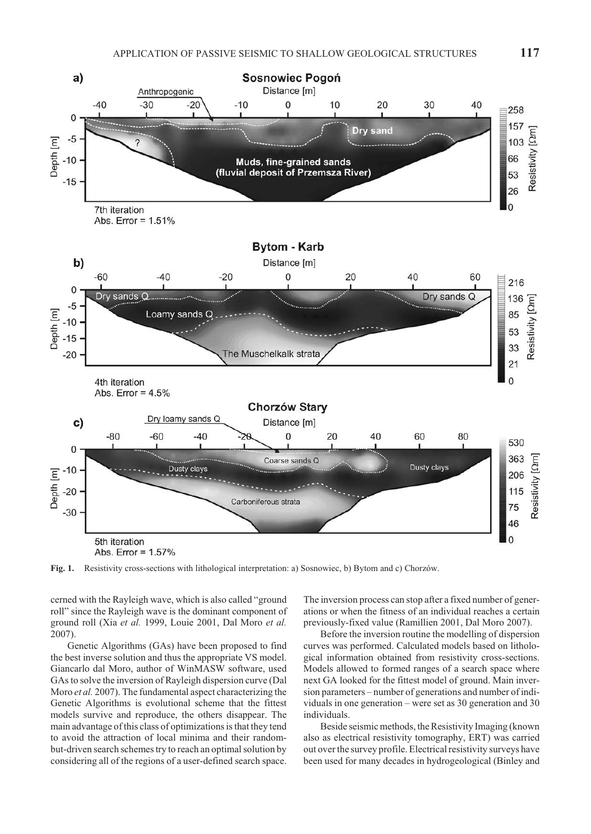

**Fig. 1.** Resistivity cross-sections with lithological interpretation: a) Sosnowiec, b) Bytom and c) Chorzów.

cerned with the Rayleigh wave, which is also called "ground" roll" since the Rayleigh wave is the dominant component of ground roll (Xia *et al.* 1999, Louie 2001, Dal Moro *et al.* 2007).

Genetic Algorithms (GAs) have been proposed to find the best inverse solution and thus the appropriate VS model. Giancarlo dal Moro, author of WinMASW software, used GAs to solve the inversion of Rayleigh dispersion curve (Dal Moro *et al.* 2007). The fundamental aspect characterizing the Genetic Algorithms is evolutional scheme that the fittest models survive and reproduce, the others disappear. The main advantage of this class of optimizations is that they tend to avoid the attraction of local minima and their randombut-driven search schemes try to reach an optimal solution by considering all of the regions of a user-defined search space.

The inversion process can stop after a fixed number of generations or when the fitness of an individual reaches a certain previously-fixed value (Ramillien 2001, Dal Moro 2007).

Before the inversion routine the modelling of dispersion curves was performed. Calculated models based on lithological information obtained from resistivity cross-sections. Models allowed to formed ranges of a search space where next GA looked for the fittest model of ground. Main inversion parameters – number of generations and number of individuals in one generation – were set as  $30$  generation and  $30$ individuals.

Beside seismic methods, the Resistivity Imaging (known also as electrical resistivity tomography, ERT) was carried out over the survey profile. Electrical resistivity surveys have been used for many decades in hydrogeological (Binley and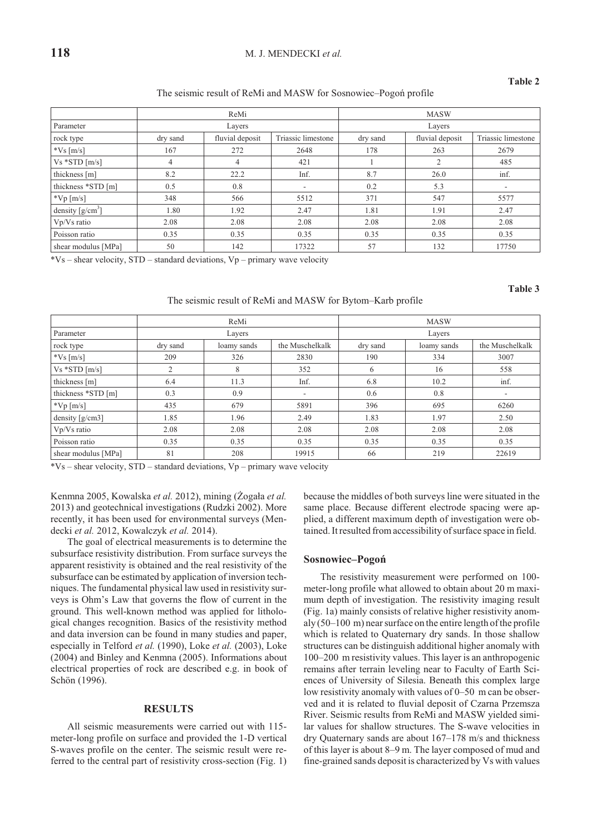# **118** M. J. MENDECKI *et al.*

# **Ta ble 2**

The seismic result of ReMi and MASW for Sosnowiec–Pogoń profile

|                     | ReMi     |                 |                    | <b>MASW</b> |                 |                    |
|---------------------|----------|-----------------|--------------------|-------------|-----------------|--------------------|
| Parameter           | Layers   |                 |                    | Layers      |                 |                    |
| rock type           | dry sand | fluvial deposit | Triassic limestone | dry sand    | fluvial deposit | Triassic limestone |
| $*Vs$ [m/s]         | 167      | 272             | 2648               | 178         | 263             | 2679               |
| $Vs *STD [m/s]$     | 4        | 4               | 421                |             | 2               | 485                |
| thickness [m]       | 8.2      | 22.2            | Inf.               | 8.7         | 26.0            | inf.               |
| thickness *STD [m]  | 0.5      | 0.8             | $\sim$             | 0.2         | 5.3             | ٠                  |
| $*Vp[m/s]$          | 348      | 566             | 5512               | 371         | 547             | 5577               |
| density $[g/cm^3]$  | 1.80     | 1.92            | 2.47               | 1.81        | 1.91            | 2.47               |
| Vp/Vs ratio         | 2.08     | 2.08            | 2.08               | 2.08        | 2.08            | 2.08               |
| Poisson ratio       | 0.35     | 0.35            | 0.35               | 0.35        | 0.35            | 0.35               |
| shear modulus [MPa] | 50       | 142             | 17322              | 57          | 132             | 17750              |

 $*Vs$  – shear velocity, STD – standard deviations, Vp – primary wave velocity

**Ta ble 3**

## The seismic result of ReMi and MASW for Bytom–Karb profile

|                     | ReMi     |             |                          | <b>MASW</b> |             |                          |
|---------------------|----------|-------------|--------------------------|-------------|-------------|--------------------------|
| Parameter           | Layers   |             |                          | Layers      |             |                          |
| rock type           | dry sand | loamy sands | the Muschelkalk          | dry sand    | loamy sands | the Muschelkalk          |
| $*Vs$ [m/s]         | 209      | 326         | 2830                     | 190         | 334         | 3007                     |
| $Vs *STD [m/s]$     | 2        | 8           | 352                      | 6           | 16          | 558                      |
| thickness [m]       | 6.4      | 11.3        | Inf.                     | 6.8         | 10.2        | inf.                     |
| thickness *STD [m]  | 0.3      | 0.9         | $\overline{\phantom{a}}$ | 0.6         | 0.8         | $\overline{\phantom{a}}$ |
| $\sqrt[k]{p}$ [m/s] | 435      | 679         | 5891                     | 396         | 695         | 6260                     |
| density $[g/cm3]$   | 1.85     | 1.96        | 2.49                     | 1.83        | 1.97        | 2.50                     |
| Vp/Vs ratio         | 2.08     | 2.08        | 2.08                     | 2.08        | 2.08        | 2.08                     |
| Poisson ratio       | 0.35     | 0.35        | 0.35                     | 0.35        | 0.35        | 0.35                     |
| shear modulus [MPa] | 81       | 208         | 19915                    | 66          | 219         | 22619                    |

 $*Vs$  – shear velocity, STD – standard deviations, Vp – primary wave velocity

Kenmna 2005, Kowalska et al. 2012), mining (Żogała et al. 2013) and geotechnical investigations (Rudzki 2002). More recently, it has been used for environmental surveys (Mendecki *et al.* 2012, Kowalczyk *et al.* 2014).

The goal of electrical measurements is to determine the subsurface resistivity distribution. From surface surveys the apparent resistivity is obtained and the real resistivity of the subsurface can be estimated by application of inversion techniques. The fundamental physical law used in resistivity surveys is Ohm's Law that governs the flow of current in the ground. This well-known method was applied for lithological changes recognition. Basics of the resistivity method and data inversion can be found in many studies and paper, especially in Telford *et al.* (1990), Loke *et al.* (2003), Loke (2004) and Binley and Kenmna (2005). Informations about electrical properties of rock are described e.g. in book of Schön (1996).

# **RE SULTS**

All seismic measurements were carried out with 115meter-long profile on surface and provided the 1-D vertical S-waves profile on the center. The seismic result were referred to the central part of resistivity cross-section (Fig. 1) because the middles of both surveys line were situated in the same place. Because different electrode spacing were applied, a different maximum depth of investigation were obtained. It resulted from accessibility of surface space in field.

#### **Sosnowiec–Pogoñ**

The resistivity measurement were performed on 100meter-long profile what allowed to obtain about 20 m maximum depth of investigation. The resistivity imaging result (Fig. 1a) mainly consists of relative higher resistivity anomaly  $(50-100 \text{ m})$  near surface on the entire length of the profile which is related to Quaternary dry sands. In those shallow structures can be distinguish additional higher anomaly with  $100-200$  m resistivity values. This layer is an anthropogenic remains after terrain leveling near to Faculty of Earth Sciences of University of Silesia. Beneath this complex large low resistivity anomaly with values of  $0-50$  m can be observed and it is related to fluvial deposit of Czarna Przemsza River. Seismic results from ReMi and MASW yielded similar values for shallow structures. The S-wave velocities in dry Quaternary sands are about  $167-178$  m/s and thickness of this layer is about 8–9 m. The layer composed of mud and fine-grained sands deposit is characterized by Vs with values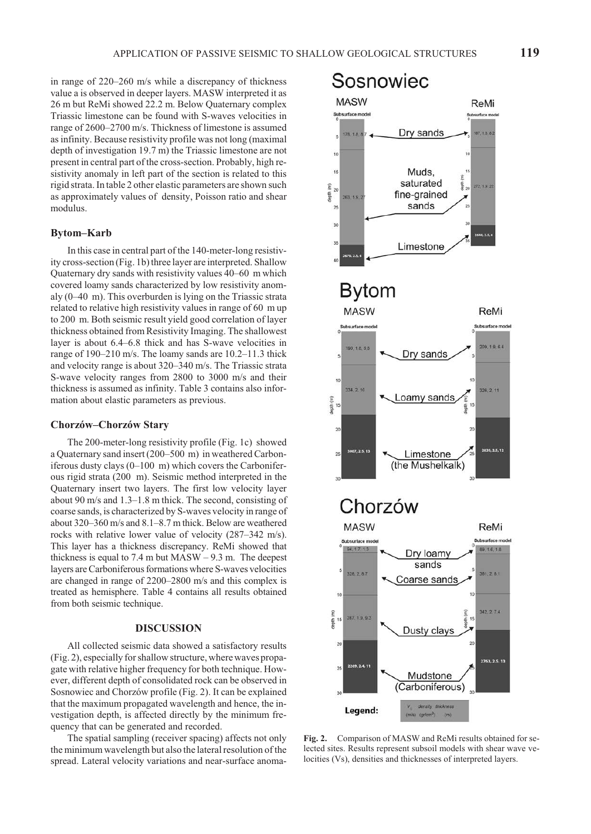in range of  $220-260$  m/s while a discrepancy of thickness value a is observed in deeper layers. MASW interpreted it as 26 m but ReMi showed 22.2 m. Below Quaternary complex Triassic limestone can be found with S-waves velocities in range of 2600–2700 m/s. Thickness of limestone is assumed as infinity. Because resistivity profile was not long (maximal depth of investigation  $19.7$  m) the Triassic limestone are not present in central part of the cross-section. Probably, high resistivity anomaly in left part of the section is related to this rigid strata. In table 2 other elastic parameters are shown such as approximately values of density, Poisson ratio and shear modulus.

# **Bytom–Karb**

In this case in central part of the 140-meter-long resistivity cross-section (Fig. 1b) three layer are interpreted. Shallow Quaternary dry sands with resistivity values 40–60 m which covered loamy sands characterized by low resistivity anomaly  $(0-40 \text{ m})$ . This overburden is lying on the Triassic strata related to relative high resistivity values in range of 60 m up to 200 m. Both seismic result yield good correlation of layer thickness obtained from Resistivity Imaging. The shallowest layer is about 6.4–6.8 thick and has S-wave velocities in range of 190–210 m/s. The loamy sands are 10.2–11.3 thick and velocity range is about 320–340 m/s. The Triassic strata S-wave velocity ranges from 2800 to 3000 m/s and their thickness is assumed as infinity. Table 3 contains also information about elastic parameters as previous.

# **Chorzów–Chorzów Stary**

The 200-meter-long resistivity profile (Fig. 1c) showed a Quaternary sand insert (200-500 m) in weathered Carbonif erous dusty clays  $(0-100 \text{ m})$  which covers the Carboniferous rigid strata (200 m). Seismic method interpreted in the Quaternary insert two layers. The first low velocity layer about 90 m/s and  $1.3-1.8$  m thick. The second, consisting of coarse sands, is characterized by S-waves velocity in range of about  $320-360$  m/s and  $8.1-8.7$  m thick. Below are weathered rocks with relative lower value of velocity (287–342 m/s). This layer has a thickness discrepancy. ReMi showed that thickness is equal to 7.4 m but  $MASW - 9.3$  m. The deepest layers are Carboniferous formations where S-waves velocities are changed in range of 2200–2800 m/s and this complex is treated as hemisphere. Table 4 contains all results obtained from both seismic technique.

# **DIS CUS SION**

All collected seismic data showed a satisfactory results  $(Fig. 2)$ , especially for shallow structure, where waves propagate with relative higher frequency for both technique. However, different depth of consolidated rock can be observed in Sosnowiec and Chorzów profile (Fig. 2). It can be explained that the maximum propagated wavelength and hence, the investigation depth, is affected directly by the minimum frequency that can be generated and recorded.

The spatial sampling (receiver spacing) affects not only the minimum wave length but also the lateral resolution of the spread. Lateral velocity variations and near-surface anoma-



Fig. 2. Comparison of MASW and ReMi results obtained for selected sites. Results represent subsoil models with shear wave velocities (Vs), densities and thicknesses of interpreted layers.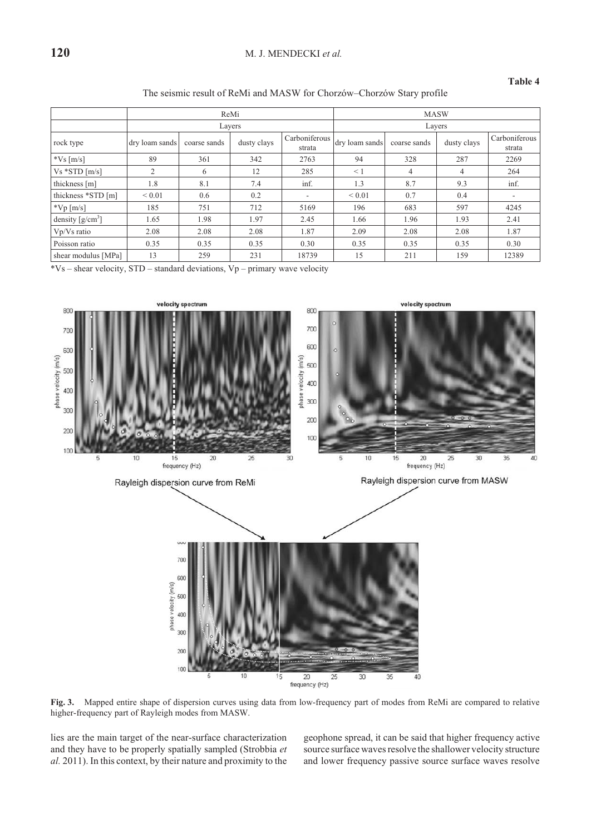# **Ta ble 4**

The seismic result of ReMi and MASW for Chorzów–Chorzów Stary profile

|                     | ReMi           |              |             |                          | <b>MASW</b>    |              |             |                         |
|---------------------|----------------|--------------|-------------|--------------------------|----------------|--------------|-------------|-------------------------|
|                     |                |              | Layers      |                          | Layers         |              |             |                         |
| rock type           | dry loam sands | coarse sands | dusty clays | Carboniferous<br>strata  | dry loam sands | coarse sands | dusty clays | Carboniferous<br>strata |
| $*Vs$ [m/s]         | 89             | 361          | 342         | 2763                     | 94             | 328          | 287         | 2269                    |
| $Vs *STD [m/s]$     | 2              | 6            | 12          | 285                      | $\leq 1$       | 4            | 4           | 264                     |
| thickness [m]       | 1.8            | 8.1          | 7.4         | inf.                     | 1.3            | 8.7          | 9.3         | inf.                    |
| thickness *STD [m]  | ${}< 0.01$     | 0.6          | 0.2         | $\overline{\phantom{a}}$ | ${}_{0.01}$    | 0.7          | 0.4         |                         |
| $\sqrt[k]{p}$ [m/s] | 185            | 751          | 712         | 5169                     | 196            | 683          | 597         | 4245                    |
| density $[g/cm^3]$  | 1.65           | 1.98         | 1.97        | 2.45                     | 1.66           | 1.96         | 1.93        | 2.41                    |
| Vp/Vs ratio         | 2.08           | 2.08         | 2.08        | 1.87                     | 2.09           | 2.08         | 2.08        | 1.87                    |
| Poisson ratio       | 0.35           | 0.35         | 0.35        | 0.30                     | 0.35           | 0.35         | 0.35        | 0.30                    |
| shear modulus [MPa] | 13             | 259          | 231         | 18739                    | 15             | 211          | 159         | 12389                   |

 $*Vs$  – shear velocity, STD – standard deviations, Vp – primary wave velocity



Fig. 3. Mapped entire shape of dispersion curves using data from low-frequency part of modes from ReMi are compared to relative higher-frequency part of Rayleigh modes from MASW.

lies are the main target of the near-surface characterization and they have to be properly spatially sampled (Strobbia et *al.* 2011). In this context, by their nature and proximity to the geophone spread, it can be said that higher frequency active source surface waves resolve the shallower velocity structure and lower frequency passive source surface waves resolve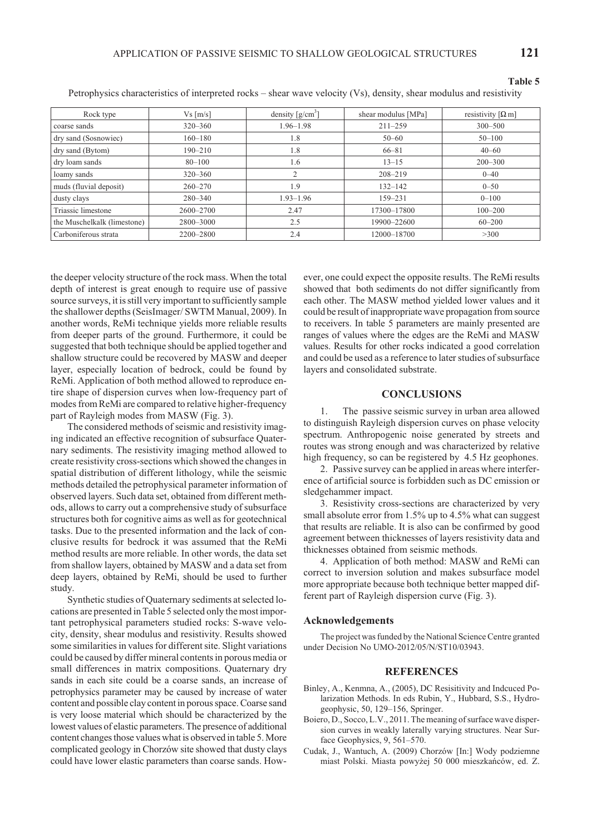**Ta ble 5**

| Rock type                   | $Vs$ [m/s]  | density $\lceil g/cm^3 \rceil$ | shear modulus [MPa] | resistivity $\lceil \Omega \rceil$ |
|-----------------------------|-------------|--------------------------------|---------------------|------------------------------------|
| coarse sands                | $320 - 360$ | $1.96 - 1.98$                  | $211 - 259$         | $300 - 500$                        |
| dry sand (Sosnowiec)        | $160 - 180$ | 1.8                            | $50 - 60$           | $50 - 100$                         |
| dry sand (Bytom)            | $190 - 210$ | 1.8                            | $66 - 81$           | $40 - 60$                          |
| dry loam sands              | $80 - 100$  | 1.6                            | $13 - 15$           | $200 - 300$                        |
| loamy sands                 | $320 - 360$ | $\overline{c}$                 | $208 - 219$         | $0 - 40$                           |
| muds (fluvial deposit)      | $260 - 270$ | 1.9                            | $132 - 142$         | $0 - 50$                           |
| dusty clays                 | $280 - 340$ | $1.93 - 1.96$                  | $159 - 231$         | $0 - 100$                          |
| Triassic limestone          | 2600-2700   | 2.47                           | 17300-17800         | $100 - 200$                        |
| the Muschelkalk (limestone) | 2800-3000   | 2.5                            | 19900-22600         | $60 - 200$                         |
| Carboniferous strata        | 2200-2800   | 2.4                            | 12000-18700         | >300                               |

Petrophysics characteristics of interpreted rocks – shear wave velocity (Vs), density, shear modulus and resistivity

the deeper velocity structure of the rock mass. When the total depth of interest is great enough to require use of passive source surveys, it is still very important to sufficiently sample the shallower depths (SeisImager/ SWTM Manual, 2009). In another words, ReMi technique yields more reliable results from deeper parts of the ground. Furthermore, it could be suggested that both technique should be applied together and shallow structure could be recovered by MASW and deeper layer, especially location of bedrock, could be found by ReMi. Application of both method allowed to reproduce entire shape of dispersion curves when low-frequency part of modes from ReMi are compared to relative higher-frequency part of Rayleigh modes from MASW (Fig. 3).

The considered methods of seismic and resistivity imaging indicated an effective recognition of subsurface Quaternary sediments. The resistivity imaging method allowed to create resistivity cross-sections which showed the changes in spatial distribution of different lithology, while the seismic methods detailed the petrophysical parameter information of observed layers. Such data set, obtained from different methods, allows to carry out a comprehensive study of subsurface structures both for cognitive aims as well as for geotechnical tasks. Due to the presented information and the lack of conclusive results for bedrock it was assumed that the ReMi method results are more reliable. In other words, the data set from shallow layers, obtained by MASW and a data set from deep layers, obtained by ReMi, should be used to further study.

Synthetic studies of Quaternary sediments at selected locations are presented in Table 5 selected only the most important petrophysical parameters studied rocks: S-wave velocity, density, shear modulus and resistivity. Results showed some similarities in values for different site. Slight variations could be caused by differ mineral contents in porous media or small differences in matrix compositions. Quaternary dry sands in each site could be a coarse sands, an increase of petrophysics parameter may be caused by increase of water content and possible clay content in porous space. Coarse sand is very loose material which should be characterized by the lowest values of elastic parameters. The presence of additional content changes those values what is observed in table 5. More complicated geology in Chorzów site showed that dusty clays could have lower elastic parameters than coarse sands. However, one could expect the opposite results. The ReMi results showed that both sediments do not differ significantly from each other. The MASW method yielded lower values and it could be result of inappropriate wave propagation from source to receivers. In table 5 parameters are mainly presented are ranges of values where the edges are the ReMi and MASW values. Results for other rocks indicated a good correlation and could be used as a reference to later studies of subsurface layers and consolidated substrate.

#### **CON CLU SIONS**

1. The passive seismic survey in urban area allowed to distinguish Rayleigh dispersion curves on phase velocity spectrum. Anthropogenic noise generated by streets and routes was strong enough and was characterized by relative high frequency, so can be registered by 4.5 Hz geophones.

2. Passive survey can be applied in areas where interference of artificial source is forbidden such as DC emission or sledgehammer impact.

3. Resistivity cross-sections are characterized by very small absolute error from 1.5% up to 4.5% what can suggest that results are reliable. It is also can be confirmed by good agreement between thicknesses of layers resistivity data and thicknesses obtained from seismic methods.

4. Application of both method: MASW and ReMi can correct to inversion solution and makes subsurface model more appropriate because both technique better mapped different part of Rayleigh dispersion curve (Fig. 3).

# **Ac knowl edge ments**

The project was funded by the National Science Centre granted under Decision No UMO-2012/05/N/ST10/03943.

# **REFERENCES**

- Binley, A., Kenmna, A., (2005), DC Resisitivity and Indcuced Polarization Methods. In eds Rubin, Y., Hubbard, S.S., Hydrogeophysic, 50, 129–156, Springer.
- Boiero, D., Socco, L.V., 2011. The meaning of surface wave dispersion curves in weakly laterally varying structures. Near Surface Geophysics, 9, 561-570.
- Cudak, J., Wantuch, A. (2009) Chorzów [In:] Wody podziemne miast Polski. Miasta powyżej 50 000 mieszkańców, ed. Z.